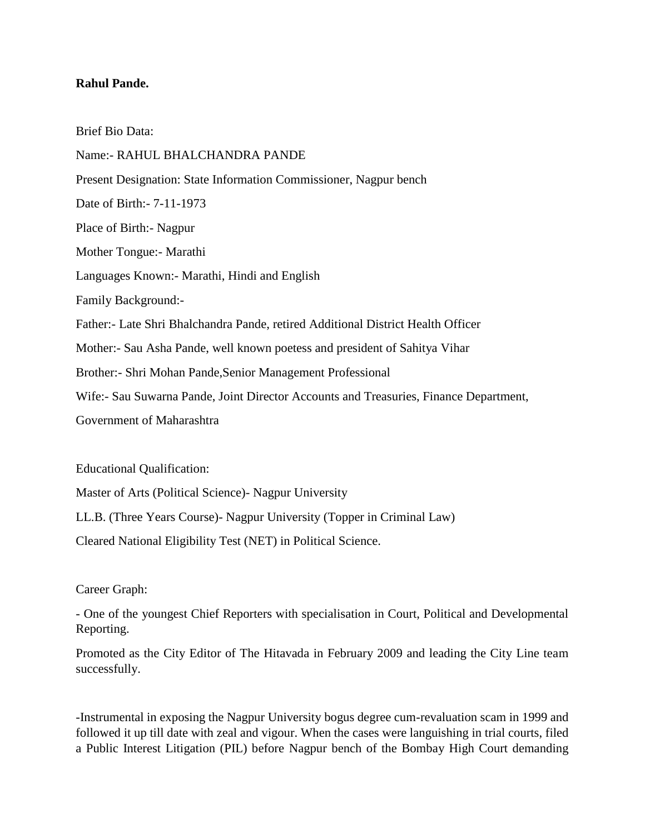## **Rahul Pande.**

Brief Bio Data: Name:- RAHUL BHALCHANDRA PANDE Present Designation: State Information Commissioner, Nagpur bench Date of Birth:- 7-11-1973 Place of Birth:- Nagpur Mother Tongue:- Marathi Languages Known:- Marathi, Hindi and English Family Background:- Father:- Late Shri Bhalchandra Pande, retired Additional District Health Officer Mother:- Sau Asha Pande, well known poetess and president of Sahitya Vihar Brother:- Shri Mohan Pande,Senior Management Professional Wife:- Sau Suwarna Pande, Joint Director Accounts and Treasuries, Finance Department, Government of Maharashtra

Educational Qualification:

Master of Arts (Political Science)- Nagpur University

LL.B. (Three Years Course)- Nagpur University (Topper in Criminal Law)

Cleared National Eligibility Test (NET) in Political Science.

Career Graph:

- One of the youngest Chief Reporters with specialisation in Court, Political and Developmental Reporting.

Promoted as the City Editor of The Hitavada in February 2009 and leading the City Line team successfully.

-Instrumental in exposing the Nagpur University bogus degree cum-revaluation scam in 1999 and followed it up till date with zeal and vigour. When the cases were languishing in trial courts, filed a Public Interest Litigation (PIL) before Nagpur bench of the Bombay High Court demanding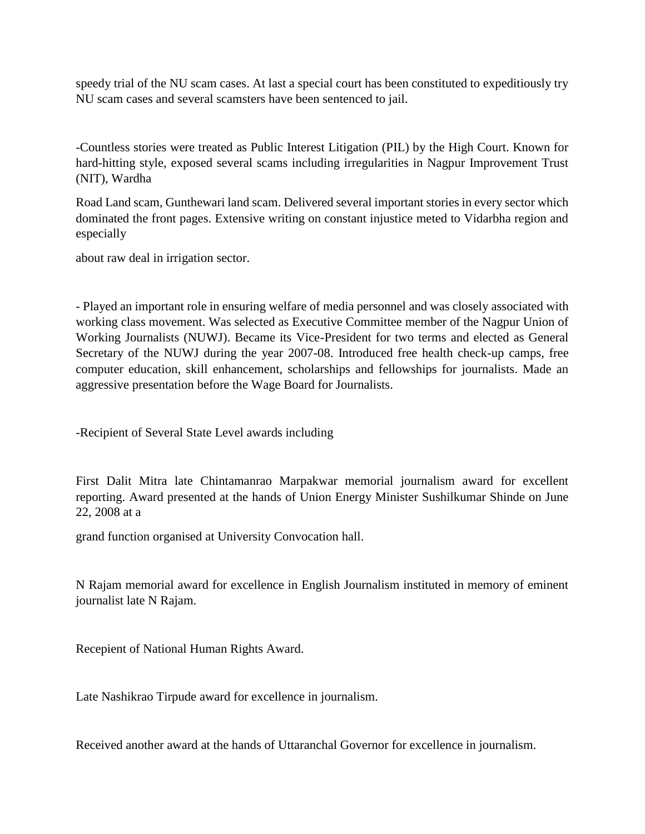speedy trial of the NU scam cases. At last a special court has been constituted to expeditiously try NU scam cases and several scamsters have been sentenced to jail.

-Countless stories were treated as Public Interest Litigation (PIL) by the High Court. Known for hard-hitting style, exposed several scams including irregularities in Nagpur Improvement Trust (NIT), Wardha

Road Land scam, Gunthewari land scam. Delivered several important stories in every sector which dominated the front pages. Extensive writing on constant injustice meted to Vidarbha region and especially

about raw deal in irrigation sector.

- Played an important role in ensuring welfare of media personnel and was closely associated with working class movement. Was selected as Executive Committee member of the Nagpur Union of Working Journalists (NUWJ). Became its Vice-President for two terms and elected as General Secretary of the NUWJ during the year 2007-08. Introduced free health check-up camps, free computer education, skill enhancement, scholarships and fellowships for journalists. Made an aggressive presentation before the Wage Board for Journalists.

-Recipient of Several State Level awards including

First Dalit Mitra late Chintamanrao Marpakwar memorial journalism award for excellent reporting. Award presented at the hands of Union Energy Minister Sushilkumar Shinde on June 22, 2008 at a

grand function organised at University Convocation hall.

N Rajam memorial award for excellence in English Journalism instituted in memory of eminent journalist late N Rajam.

Recepient of National Human Rights Award.

Late Nashikrao Tirpude award for excellence in journalism.

Received another award at the hands of Uttaranchal Governor for excellence in journalism.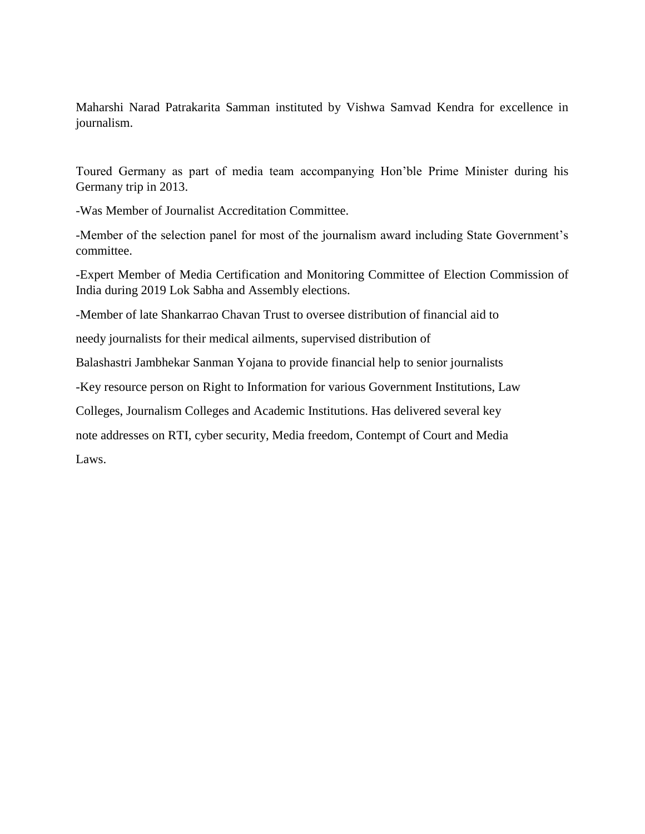Maharshi Narad Patrakarita Samman instituted by Vishwa Samvad Kendra for excellence in journalism.

Toured Germany as part of media team accompanying Hon'ble Prime Minister during his Germany trip in 2013.

-Was Member of Journalist Accreditation Committee.

-Member of the selection panel for most of the journalism award including State Government's committee.

-Expert Member of Media Certification and Monitoring Committee of Election Commission of India during 2019 Lok Sabha and Assembly elections.

-Member of late Shankarrao Chavan Trust to oversee distribution of financial aid to

needy journalists for their medical ailments, supervised distribution of

Balashastri Jambhekar Sanman Yojana to provide financial help to senior journalists

-Key resource person on Right to Information for various Government Institutions, Law

Colleges, Journalism Colleges and Academic Institutions. Has delivered several key

note addresses on RTI, cyber security, Media freedom, Contempt of Court and Media

Laws.